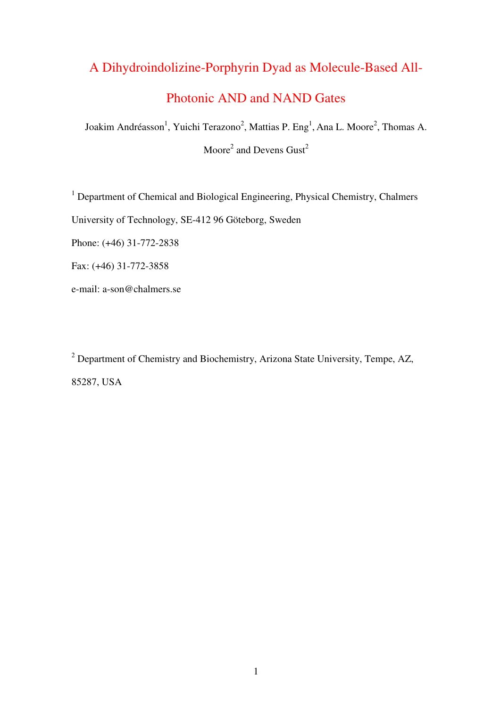# A Dihydroindolizine-Porphyrin Dyad as Molecule-Based All-

## Photonic AND and NAND Gates

Joakim Andréasson<sup>1</sup>, Yuichi Terazono<sup>2</sup>, Mattias P. Eng<sup>1</sup>, Ana L. Moore<sup>2</sup>, Thomas A. Moore<sup>2</sup> and Devens  $Gust^2$ 

<sup>1</sup> Department of Chemical and Biological Engineering, Physical Chemistry, Chalmers University of Technology, SE-412 96 Göteborg, Sweden Phone: (+46) 31-772-2838

Fax: (+46) 31-772-3858

e-mail: a-son@chalmers.se

<sup>2</sup> Department of Chemistry and Biochemistry, Arizona State University, Tempe, AZ, 85287, USA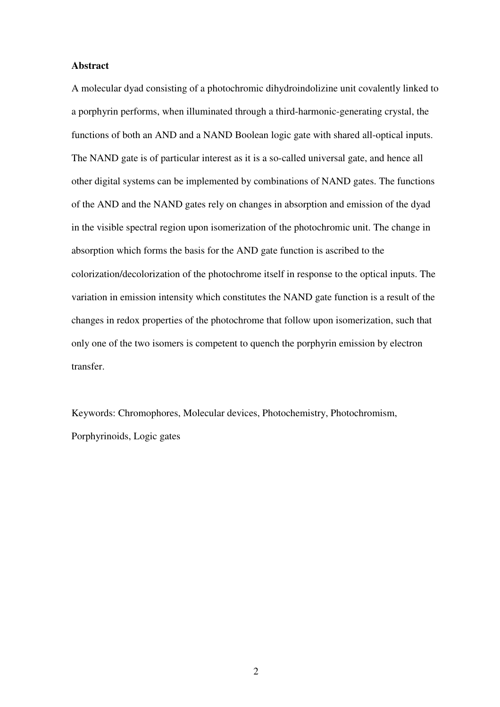#### **Abstract**

A molecular dyad consisting of a photochromic dihydroindolizine unit covalently linked to a porphyrin performs, when illuminated through a third-harmonic-generating crystal, the functions of both an AND and a NAND Boolean logic gate with shared all-optical inputs. The NAND gate is of particular interest as it is a so-called universal gate, and hence all other digital systems can be implemented by combinations of NAND gates. The functions of the AND and the NAND gates rely on changes in absorption and emission of the dyad in the visible spectral region upon isomerization of the photochromic unit. The change in absorption which forms the basis for the AND gate function is ascribed to the colorization/decolorization of the photochrome itself in response to the optical inputs. The variation in emission intensity which constitutes the NAND gate function is a result of the changes in redox properties of the photochrome that follow upon isomerization, such that only one of the two isomers is competent to quench the porphyrin emission by electron transfer.

Keywords: Chromophores, Molecular devices, Photochemistry, Photochromism, Porphyrinoids, Logic gates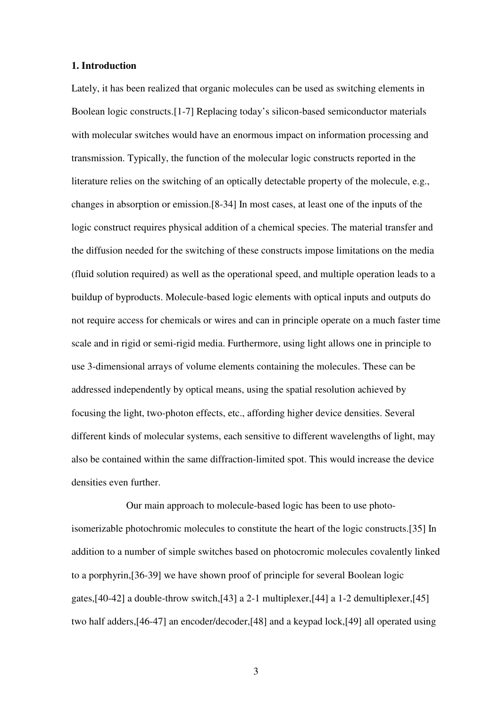#### **1. Introduction**

Lately, it has been realized that organic molecules can be used as switching elements in Boolean logic constructs.[1-7] Replacing today's silicon-based semiconductor materials with molecular switches would have an enormous impact on information processing and transmission. Typically, the function of the molecular logic constructs reported in the literature relies on the switching of an optically detectable property of the molecule, e.g., changes in absorption or emission.[8-34] In most cases, at least one of the inputs of the logic construct requires physical addition of a chemical species. The material transfer and the diffusion needed for the switching of these constructs impose limitations on the media (fluid solution required) as well as the operational speed, and multiple operation leads to a buildup of byproducts. Molecule-based logic elements with optical inputs and outputs do not require access for chemicals or wires and can in principle operate on a much faster time scale and in rigid or semi-rigid media. Furthermore, using light allows one in principle to use 3-dimensional arrays of volume elements containing the molecules. These can be addressed independently by optical means, using the spatial resolution achieved by focusing the light, two-photon effects, etc., affording higher device densities. Several different kinds of molecular systems, each sensitive to different wavelengths of light, may also be contained within the same diffraction-limited spot. This would increase the device densities even further.

Our main approach to molecule-based logic has been to use photoisomerizable photochromic molecules to constitute the heart of the logic constructs.[35] In addition to a number of simple switches based on photocromic molecules covalently linked to a porphyrin,[36-39] we have shown proof of principle for several Boolean logic gates,[40-42] a double-throw switch,[43] a 2-1 multiplexer,[44] a 1-2 demultiplexer,[45] two half adders,[46-47] an encoder/decoder,[48] and a keypad lock,[49] all operated using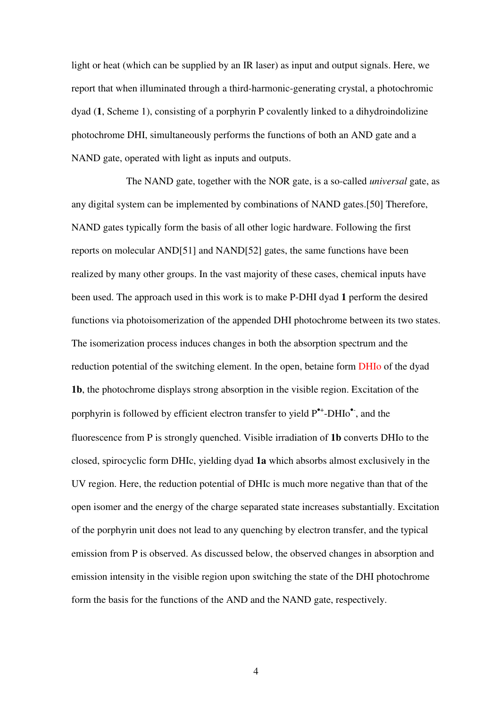light or heat (which can be supplied by an IR laser) as input and output signals. Here, we report that when illuminated through a third-harmonic-generating crystal, a photochromic dyad (**1**, Scheme 1), consisting of a porphyrin P covalently linked to a dihydroindolizine photochrome DHI, simultaneously performs the functions of both an AND gate and a NAND gate, operated with light as inputs and outputs.

The NAND gate, together with the NOR gate, is a so-called *universal* gate, as any digital system can be implemented by combinations of NAND gates.[50] Therefore, NAND gates typically form the basis of all other logic hardware. Following the first reports on molecular AND[51] and NAND[52] gates, the same functions have been realized by many other groups. In the vast majority of these cases, chemical inputs have been used. The approach used in this work is to make P-DHI dyad **1** perform the desired functions via photoisomerization of the appended DHI photochrome between its two states. The isomerization process induces changes in both the absorption spectrum and the reduction potential of the switching element. In the open, betaine form DHIo of the dyad **1b**, the photochrome displays strong absorption in the visible region. Excitation of the porphyrin is followed by efficient electron transfer to yield  $P^{\bullet+}$ -DHIo $^{\bullet}$ , and the fluorescence from P is strongly quenched. Visible irradiation of **1b** converts DHIo to the closed, spirocyclic form DHIc, yielding dyad **1a** which absorbs almost exclusively in the UV region. Here, the reduction potential of DHIc is much more negative than that of the open isomer and the energy of the charge separated state increases substantially. Excitation of the porphyrin unit does not lead to any quenching by electron transfer, and the typical emission from P is observed. As discussed below, the observed changes in absorption and emission intensity in the visible region upon switching the state of the DHI photochrome form the basis for the functions of the AND and the NAND gate, respectively.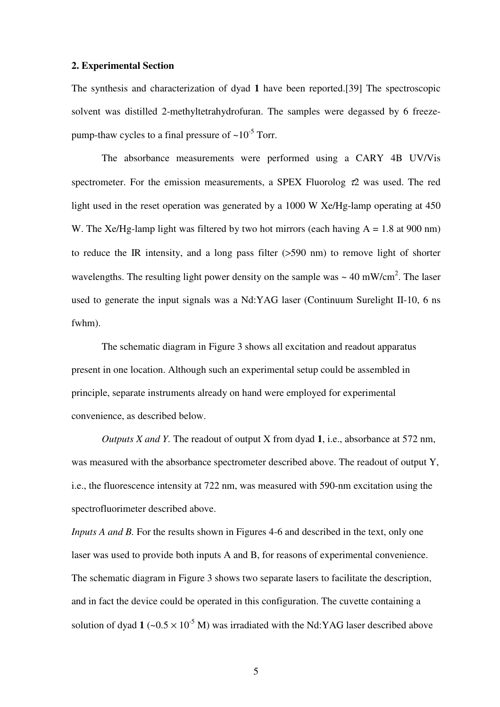#### **2. Experimental Section**

The synthesis and characterization of dyad **1** have been reported.[39] The spectroscopic solvent was distilled 2-methyltetrahydrofuran. The samples were degassed by 6 freezepump-thaw cycles to a final pressure of  $\sim 10^{-5}$  Torr.

The absorbance measurements were performed using a CARY 4B UV/Vis spectrometer. For the emission measurements, a SPEX Fluorolog  $\tau$ 2 was used. The red light used in the reset operation was generated by a 1000 W Xe/Hg-lamp operating at 450 W. The Xe/Hg-lamp light was filtered by two hot mirrors (each having  $A = 1.8$  at 900 nm) to reduce the IR intensity, and a long pass filter (>590 nm) to remove light of shorter wavelengths. The resulting light power density on the sample was  $\sim 40 \text{ mW/cm}^2$ . The laser used to generate the input signals was a Nd:YAG laser (Continuum Surelight II-10, 6 ns fwhm).

The schematic diagram in Figure 3 shows all excitation and readout apparatus present in one location. Although such an experimental setup could be assembled in principle, separate instruments already on hand were employed for experimental convenience, as described below.

*Outputs X and Y.* The readout of output X from dyad **1**, i.e., absorbance at 572 nm, was measured with the absorbance spectrometer described above. The readout of output Y, i.e., the fluorescence intensity at 722 nm, was measured with 590-nm excitation using the spectrofluorimeter described above.

*Inputs A and B*. For the results shown in Figures 4-6 and described in the text, only one laser was used to provide both inputs A and B, for reasons of experimental convenience. The schematic diagram in Figure 3 shows two separate lasers to facilitate the description, and in fact the device could be operated in this configuration. The cuvette containing a solution of dyad  $1 \left( \sim 0.5 \times 10^{-5} \text{ M} \right)$  was irradiated with the Nd:YAG laser described above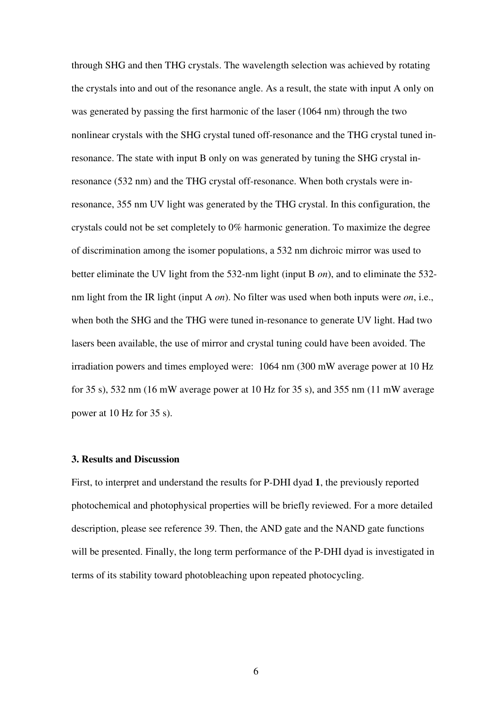through SHG and then THG crystals. The wavelength selection was achieved by rotating the crystals into and out of the resonance angle. As a result, the state with input A only on was generated by passing the first harmonic of the laser (1064 nm) through the two nonlinear crystals with the SHG crystal tuned off-resonance and the THG crystal tuned inresonance. The state with input B only on was generated by tuning the SHG crystal inresonance (532 nm) and the THG crystal off-resonance. When both crystals were inresonance, 355 nm UV light was generated by the THG crystal. In this configuration, the crystals could not be set completely to 0% harmonic generation. To maximize the degree of discrimination among the isomer populations, a 532 nm dichroic mirror was used to better eliminate the UV light from the 532-nm light (input B *on*), and to eliminate the 532 nm light from the IR light (input A *on*). No filter was used when both inputs were *on*, i.e., when both the SHG and the THG were tuned in-resonance to generate UV light. Had two lasers been available, the use of mirror and crystal tuning could have been avoided. The irradiation powers and times employed were: 1064 nm (300 mW average power at 10 Hz for 35 s), 532 nm (16 mW average power at 10 Hz for 35 s), and 355 nm (11 mW average power at 10 Hz for 35 s).

#### **3. Results and Discussion**

First, to interpret and understand the results for P-DHI dyad **1**, the previously reported photochemical and photophysical properties will be briefly reviewed. For a more detailed description, please see reference 39. Then, the AND gate and the NAND gate functions will be presented. Finally, the long term performance of the P-DHI dyad is investigated in terms of its stability toward photobleaching upon repeated photocycling.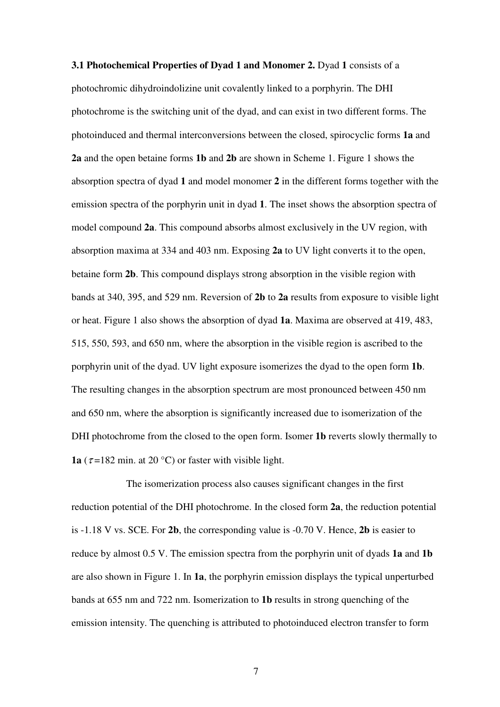**3.1 Photochemical Properties of Dyad 1 and Monomer 2.** Dyad 1 consists of a photochromic dihydroindolizine unit covalently linked to a porphyrin. The DHI photochrome is the switching unit of the dyad, and can exist in two different forms. The photoinduced and thermal interconversions between the closed, spirocyclic forms **1a** and **2a** and the open betaine forms **1b** and **2b** are shown in Scheme 1. Figure 1 shows the absorption spectra of dyad **1** and model monomer **2** in the different forms together with the emission spectra of the porphyrin unit in dyad **1**. The inset shows the absorption spectra of model compound **2a**. This compound absorbs almost exclusively in the UV region, with absorption maxima at 334 and 403 nm. Exposing **2a** to UV light converts it to the open, betaine form **2b**. This compound displays strong absorption in the visible region with bands at 340, 395, and 529 nm. Reversion of **2b** to **2a** results from exposure to visible light or heat. Figure 1 also shows the absorption of dyad **1a**. Maxima are observed at 419, 483, 515, 550, 593, and 650 nm, where the absorption in the visible region is ascribed to the porphyrin unit of the dyad. UV light exposure isomerizes the dyad to the open form **1b**. The resulting changes in the absorption spectrum are most pronounced between 450 nm and 650 nm, where the absorption is significantly increased due to isomerization of the DHI photochrome from the closed to the open form. Isomer **1b** reverts slowly thermally to **1a** ( $\tau$ =182 min. at 20 °C) or faster with visible light.

The isomerization process also causes significant changes in the first reduction potential of the DHI photochrome. In the closed form **2a**, the reduction potential is -1.18 V vs. SCE. For **2b**, the corresponding value is -0.70 V. Hence, **2b** is easier to reduce by almost 0.5 V. The emission spectra from the porphyrin unit of dyads **1a** and **1b** are also shown in Figure 1. In **1a**, the porphyrin emission displays the typical unperturbed bands at 655 nm and 722 nm. Isomerization to **1b** results in strong quenching of the emission intensity. The quenching is attributed to photoinduced electron transfer to form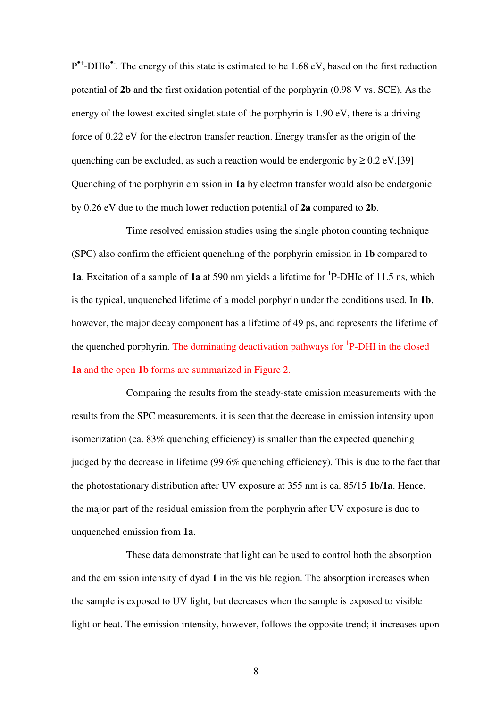P<sup>\*+</sup>-DHIo<sup>\*</sup>. The energy of this state is estimated to be 1.68 eV, based on the first reduction potential of **2b** and the first oxidation potential of the porphyrin (0.98 V vs. SCE). As the energy of the lowest excited singlet state of the porphyrin is 1.90 eV, there is a driving force of 0.22 eV for the electron transfer reaction. Energy transfer as the origin of the quenching can be excluded, as such a reaction would be endergonic by  $\geq 0.2 \text{ eV}$ .[39] Quenching of the porphyrin emission in **1a** by electron transfer would also be endergonic by 0.26 eV due to the much lower reduction potential of **2a** compared to **2b**.

Time resolved emission studies using the single photon counting technique (SPC) also confirm the efficient quenching of the porphyrin emission in **1b** compared to **1a**. Excitation of a sample of **1a** at 590 nm yields a lifetime for <sup>1</sup>P-DHIc of 11.5 ns, which is the typical, unquenched lifetime of a model porphyrin under the conditions used. In **1b**, however, the major decay component has a lifetime of 49 ps, and represents the lifetime of the quenched porphyrin. The dominating deactivation pathways for <sup>1</sup>P-DHI in the closed **1a** and the open **1b** forms are summarized in Figure 2.

Comparing the results from the steady-state emission measurements with the results from the SPC measurements, it is seen that the decrease in emission intensity upon isomerization (ca. 83% quenching efficiency) is smaller than the expected quenching judged by the decrease in lifetime (99.6% quenching efficiency). This is due to the fact that the photostationary distribution after UV exposure at 355 nm is ca. 85/15 **1b**/**1a**. Hence, the major part of the residual emission from the porphyrin after UV exposure is due to unquenched emission from **1a**.

These data demonstrate that light can be used to control both the absorption and the emission intensity of dyad **1** in the visible region. The absorption increases when the sample is exposed to UV light, but decreases when the sample is exposed to visible light or heat. The emission intensity, however, follows the opposite trend; it increases upon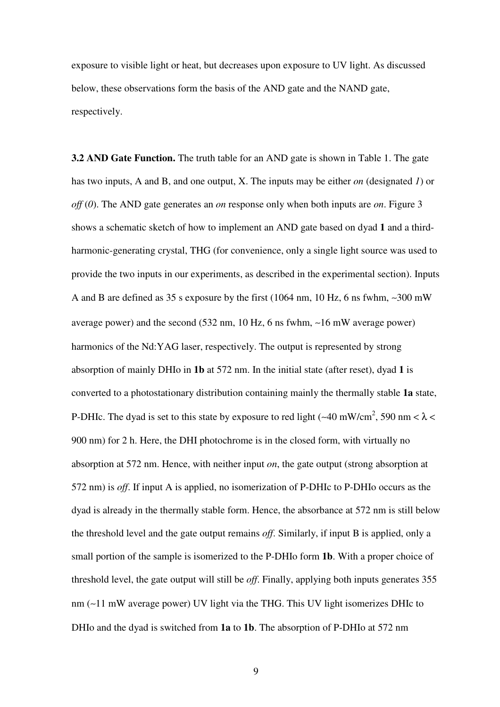exposure to visible light or heat, but decreases upon exposure to UV light. As discussed below, these observations form the basis of the AND gate and the NAND gate, respectively.

**3.2 AND Gate Function.** The truth table for an AND gate is shown in Table 1. The gate has two inputs, A and B, and one output, X. The inputs may be either *on* (designated *1*) or *off* (*0*). The AND gate generates an *on* response only when both inputs are *on*. Figure 3 shows a schematic sketch of how to implement an AND gate based on dyad **1** and a thirdharmonic-generating crystal, THG (for convenience, only a single light source was used to provide the two inputs in our experiments, as described in the experimental section). Inputs A and B are defined as 35 s exposure by the first (1064 nm, 10 Hz, 6 ns fwhm, ∼300 mW average power) and the second (532 nm, 10 Hz, 6 ns fwhm, ∼16 mW average power) harmonics of the Nd:YAG laser, respectively. The output is represented by strong absorption of mainly DHIo in **1b** at 572 nm. In the initial state (after reset), dyad **1** is converted to a photostationary distribution containing mainly the thermally stable **1a** state, P-DHIc. The dyad is set to this state by exposure to red light (~40 mW/cm<sup>2</sup>, 590 nm <  $\lambda$  < 900 nm) for 2 h. Here, the DHI photochrome is in the closed form, with virtually no absorption at 572 nm. Hence, with neither input *on*, the gate output (strong absorption at 572 nm) is *off*. If input A is applied, no isomerization of P-DHIc to P-DHIo occurs as the dyad is already in the thermally stable form. Hence, the absorbance at 572 nm is still below the threshold level and the gate output remains *off*. Similarly, if input B is applied, only a small portion of the sample is isomerized to the P-DHIo form **1b**. With a proper choice of threshold level, the gate output will still be *off*. Finally, applying both inputs generates 355 nm (∼11 mW average power) UV light via the THG. This UV light isomerizes DHIc to DHIo and the dyad is switched from **1a** to **1b**. The absorption of P-DHIo at 572 nm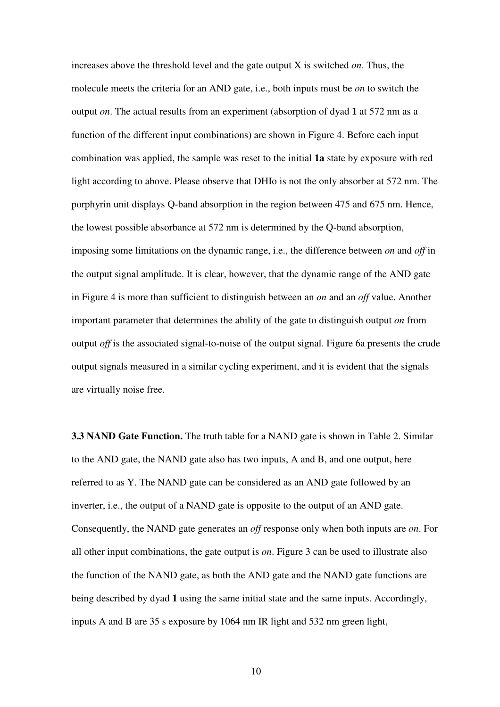increases above the threshold level and the gate output X is switched *on*. Thus, the molecule meets the criteria for an AND gate, i.e., both inputs must be *on* to switch the output *on*. The actual results from an experiment (absorption of dyad **1** at 572 nm as a function of the different input combinations) are shown in Figure 4. Before each input combination was applied, the sample was reset to the initial **1a** state by exposure with red light according to above. Please observe that DHIo is not the only absorber at 572 nm. The porphyrin unit displays Q-band absorption in the region between 475 and 675 nm. Hence, the lowest possible absorbance at 572 nm is determined by the Q-band absorption, imposing some limitations on the dynamic range, i.e., the difference between *on* and *off* in the output signal amplitude. It is clear, however, that the dynamic range of the AND gate in Figure 4 is more than sufficient to distinguish between an *on* and an *off* value. Another important parameter that determines the ability of the gate to distinguish output *on* from output *off* is the associated signal-to-noise of the output signal. Figure 6a presents the crude output signals measured in a similar cycling experiment, and it is evident that the signals are virtually noise free.

**3.3 NAND Gate Function.** The truth table for a NAND gate is shown in Table 2. Similar to the AND gate, the NAND gate also has two inputs, A and B, and one output, here referred to as Y. The NAND gate can be considered as an AND gate followed by an inverter, i.e., the output of a NAND gate is opposite to the output of an AND gate. Consequently, the NAND gate generates an *off* response only when both inputs are *on*. For all other input combinations, the gate output is *on*. Figure 3 can be used to illustrate also the function of the NAND gate, as both the AND gate and the NAND gate functions are being described by dyad **1** using the same initial state and the same inputs. Accordingly, inputs A and B are 35 s exposure by 1064 nm IR light and 532 nm green light,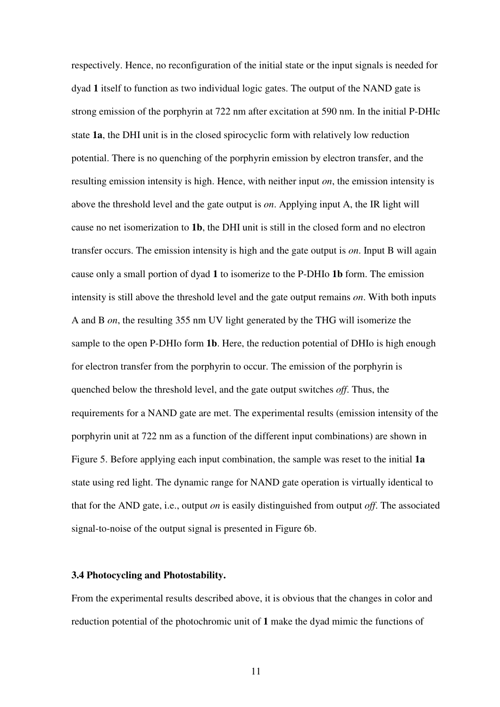respectively. Hence, no reconfiguration of the initial state or the input signals is needed for dyad **1** itself to function as two individual logic gates. The output of the NAND gate is strong emission of the porphyrin at 722 nm after excitation at 590 nm. In the initial P-DHIc state **1a**, the DHI unit is in the closed spirocyclic form with relatively low reduction potential. There is no quenching of the porphyrin emission by electron transfer, and the resulting emission intensity is high. Hence, with neither input *on*, the emission intensity is above the threshold level and the gate output is *on*. Applying input A, the IR light will cause no net isomerization to **1b**, the DHI unit is still in the closed form and no electron transfer occurs. The emission intensity is high and the gate output is *on*. Input B will again cause only a small portion of dyad **1** to isomerize to the P-DHIo **1b** form. The emission intensity is still above the threshold level and the gate output remains *on*. With both inputs A and B *on*, the resulting 355 nm UV light generated by the THG will isomerize the sample to the open P-DHIo form **1b**. Here, the reduction potential of DHIo is high enough for electron transfer from the porphyrin to occur. The emission of the porphyrin is quenched below the threshold level, and the gate output switches *off*. Thus, the requirements for a NAND gate are met. The experimental results (emission intensity of the porphyrin unit at 722 nm as a function of the different input combinations) are shown in Figure 5. Before applying each input combination, the sample was reset to the initial **1a** state using red light. The dynamic range for NAND gate operation is virtually identical to that for the AND gate, i.e., output *on* is easily distinguished from output *off*. The associated signal-to-noise of the output signal is presented in Figure 6b.

#### **3.4 Photocycling and Photostability.**

From the experimental results described above, it is obvious that the changes in color and reduction potential of the photochromic unit of **1** make the dyad mimic the functions of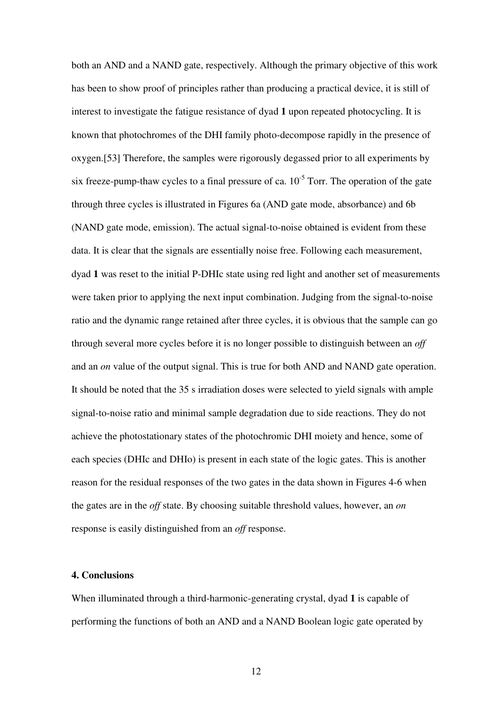both an AND and a NAND gate, respectively. Although the primary objective of this work has been to show proof of principles rather than producing a practical device, it is still of interest to investigate the fatigue resistance of dyad **1** upon repeated photocycling. It is known that photochromes of the DHI family photo-decompose rapidly in the presence of oxygen.[53] Therefore, the samples were rigorously degassed prior to all experiments by six freeze-pump-thaw cycles to a final pressure of ca.  $10^{-5}$  Torr. The operation of the gate through three cycles is illustrated in Figures 6a (AND gate mode, absorbance) and 6b (NAND gate mode, emission). The actual signal-to-noise obtained is evident from these data. It is clear that the signals are essentially noise free. Following each measurement, dyad **1** was reset to the initial P-DHIc state using red light and another set of measurements were taken prior to applying the next input combination. Judging from the signal-to-noise ratio and the dynamic range retained after three cycles, it is obvious that the sample can go through several more cycles before it is no longer possible to distinguish between an *off* and an *on* value of the output signal. This is true for both AND and NAND gate operation. It should be noted that the 35 s irradiation doses were selected to yield signals with ample signal-to-noise ratio and minimal sample degradation due to side reactions. They do not achieve the photostationary states of the photochromic DHI moiety and hence, some of each species (DHIc and DHIo) is present in each state of the logic gates. This is another reason for the residual responses of the two gates in the data shown in Figures 4-6 when the gates are in the *off* state. By choosing suitable threshold values, however, an *on* response is easily distinguished from an *off* response.

#### **4. Conclusions**

When illuminated through a third-harmonic-generating crystal, dyad **1** is capable of performing the functions of both an AND and a NAND Boolean logic gate operated by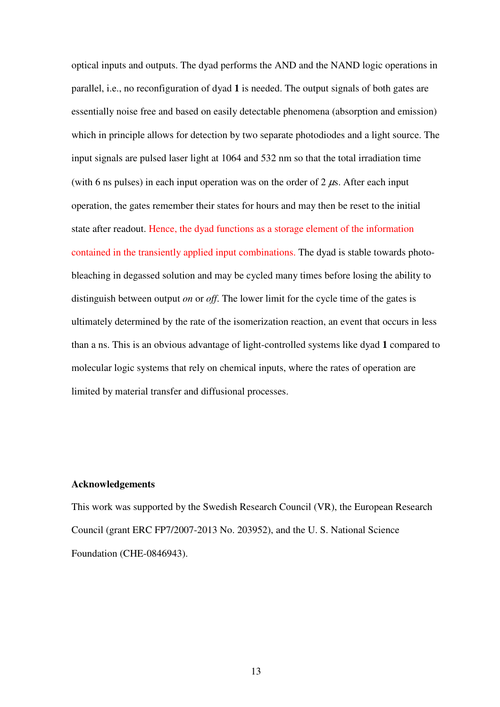optical inputs and outputs. The dyad performs the AND and the NAND logic operations in parallel, i.e., no reconfiguration of dyad **1** is needed. The output signals of both gates are essentially noise free and based on easily detectable phenomena (absorption and emission) which in principle allows for detection by two separate photodiodes and a light source. The input signals are pulsed laser light at 1064 and 532 nm so that the total irradiation time (with 6 ns pulses) in each input operation was on the order of 2  $\mu$ s. After each input operation, the gates remember their states for hours and may then be reset to the initial state after readout. Hence, the dyad functions as a storage element of the information contained in the transiently applied input combinations. The dyad is stable towards photobleaching in degassed solution and may be cycled many times before losing the ability to distinguish between output *on* or *off*. The lower limit for the cycle time of the gates is ultimately determined by the rate of the isomerization reaction, an event that occurs in less than a ns. This is an obvious advantage of light-controlled systems like dyad **1** compared to molecular logic systems that rely on chemical inputs, where the rates of operation are limited by material transfer and diffusional processes.

#### **Acknowledgements**

This work was supported by the Swedish Research Council (VR), the European Research Council (grant ERC FP7/2007-2013 No. 203952), and the U. S. National Science Foundation (CHE-0846943).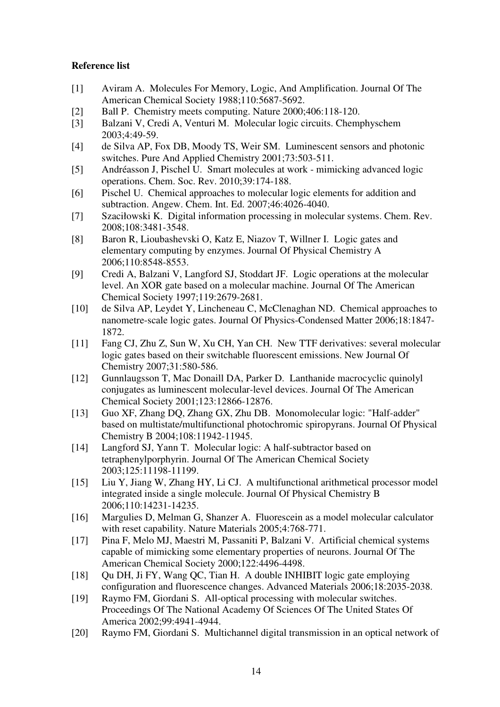### **Reference list**

- [1] Aviram A. Molecules For Memory, Logic, And Amplification. Journal Of The American Chemical Society 1988;110:5687-5692.
- [2] Ball P. Chemistry meets computing. Nature 2000;406:118-120.
- [3] Balzani V, Credi A, Venturi M. Molecular logic circuits. Chemphyschem 2003;4:49-59.
- [4] de Silva AP, Fox DB, Moody TS, Weir SM. Luminescent sensors and photonic switches. Pure And Applied Chemistry 2001;73:503-511.
- [5] Andréasson J, Pischel U. Smart molecules at work mimicking advanced logic operations. Chem. Soc. Rev. 2010;39:174-188.
- [6] Pischel U. Chemical approaches to molecular logic elements for addition and subtraction. Angew. Chem. Int. Ed. 2007;46:4026-4040.
- [7] Szaciłowski K. Digital information processing in molecular systems. Chem. Rev. 2008;108:3481-3548.
- [8] Baron R, Lioubashevski O, Katz E, Niazov T, Willner I. Logic gates and elementary computing by enzymes. Journal Of Physical Chemistry A 2006;110:8548-8553.
- [9] Credi A, Balzani V, Langford SJ, Stoddart JF. Logic operations at the molecular level. An XOR gate based on a molecular machine. Journal Of The American Chemical Society 1997;119:2679-2681.
- [10] de Silva AP, Leydet Y, Lincheneau C, McClenaghan ND. Chemical approaches to nanometre-scale logic gates. Journal Of Physics-Condensed Matter 2006;18:1847- 1872.
- [11] Fang CJ, Zhu Z, Sun W, Xu CH, Yan CH. New TTF derivatives: several molecular logic gates based on their switchable fluorescent emissions. New Journal Of Chemistry 2007;31:580-586.
- [12] Gunnlaugsson T, Mac Donaill DA, Parker D. Lanthanide macrocyclic quinolyl conjugates as luminescent molecular-level devices. Journal Of The American Chemical Society 2001;123:12866-12876.
- [13] Guo XF, Zhang DQ, Zhang GX, Zhu DB. Monomolecular logic: "Half-adder" based on multistate/multifunctional photochromic spiropyrans. Journal Of Physical Chemistry B 2004;108:11942-11945.
- [14] Langford SJ, Yann T. Molecular logic: A half-subtractor based on tetraphenylporphyrin. Journal Of The American Chemical Society 2003;125:11198-11199.
- [15] Liu Y, Jiang W, Zhang HY, Li CJ. A multifunctional arithmetical processor model integrated inside a single molecule. Journal Of Physical Chemistry B 2006;110:14231-14235.
- [16] Margulies D, Melman G, Shanzer A. Fluorescein as a model molecular calculator with reset capability. Nature Materials 2005;4:768-771.
- [17] Pina F, Melo MJ, Maestri M, Passaniti P, Balzani V. Artificial chemical systems capable of mimicking some elementary properties of neurons. Journal Of The American Chemical Society 2000;122:4496-4498.
- [18] Qu DH, Ji FY, Wang QC, Tian H. A double INHIBIT logic gate employing configuration and fluorescence changes. Advanced Materials 2006;18:2035-2038.
- [19] Raymo FM, Giordani S. All-optical processing with molecular switches. Proceedings Of The National Academy Of Sciences Of The United States Of America 2002;99:4941-4944.
- [20] Raymo FM, Giordani S. Multichannel digital transmission in an optical network of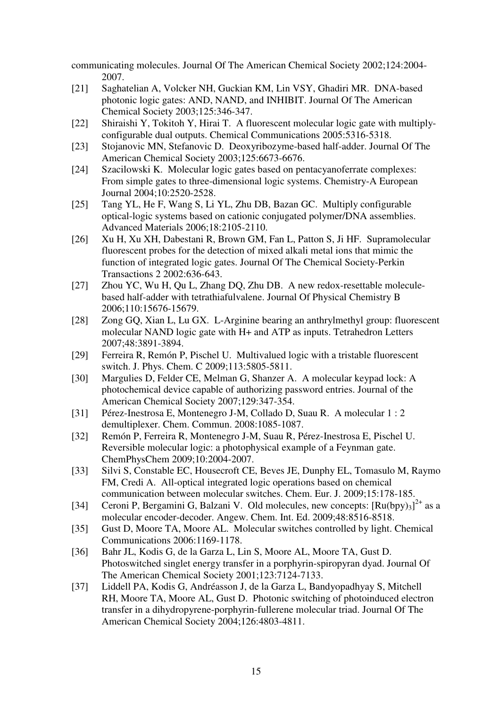communicating molecules. Journal Of The American Chemical Society 2002;124:2004- 2007.

- [21] Saghatelian A, Volcker NH, Guckian KM, Lin VSY, Ghadiri MR. DNA-based photonic logic gates: AND, NAND, and INHIBIT. Journal Of The American Chemical Society 2003;125:346-347.
- [22] Shiraishi Y, Tokitoh Y, Hirai T. A fluorescent molecular logic gate with multiplyconfigurable dual outputs. Chemical Communications 2005:5316-5318.
- [23] Stojanovic MN, Stefanovic D. Deoxyribozyme-based half-adder. Journal Of The American Chemical Society 2003;125:6673-6676.
- [24] Szacilowski K. Molecular logic gates based on pentacyanoferrate complexes: From simple gates to three-dimensional logic systems. Chemistry-A European Journal 2004;10:2520-2528.
- [25] Tang YL, He F, Wang S, Li YL, Zhu DB, Bazan GC. Multiply configurable optical-logic systems based on cationic conjugated polymer/DNA assemblies. Advanced Materials 2006;18:2105-2110.
- [26] Xu H, Xu XH, Dabestani R, Brown GM, Fan L, Patton S, Ji HF. Supramolecular fluorescent probes for the detection of mixed alkali metal ions that mimic the function of integrated logic gates. Journal Of The Chemical Society-Perkin Transactions 2 2002:636-643.
- [27] Zhou YC, Wu H, Qu L, Zhang DQ, Zhu DB. A new redox-resettable moleculebased half-adder with tetrathiafulvalene. Journal Of Physical Chemistry B 2006;110:15676-15679.
- [28] Zong GQ, Xian L, Lu GX. L-Arginine bearing an anthrylmethyl group: fluorescent molecular NAND logic gate with H+ and ATP as inputs. Tetrahedron Letters 2007;48:3891-3894.
- [29] Ferreira R, Remón P, Pischel U. Multivalued logic with a tristable fluorescent switch. J. Phys. Chem. C 2009;113:5805-5811.
- [30] Margulies D, Felder CE, Melman G, Shanzer A. A molecular keypad lock: A photochemical device capable of authorizing password entries. Journal of the American Chemical Society 2007;129:347-354.
- [31] Pérez-Inestrosa E, Montenegro J-M, Collado D, Suau R. A molecular 1 : 2 demultiplexer. Chem. Commun. 2008:1085-1087.
- [32] Remón P, Ferreira R, Montenegro J-M, Suau R, Pérez-Inestrosa E, Pischel U. Reversible molecular logic: a photophysical example of a Feynman gate. ChemPhysChem 2009;10:2004-2007.
- [33] Silvi S, Constable EC, Housecroft CE, Beves JE, Dunphy EL, Tomasulo M, Raymo FM, Credi A. All-optical integrated logic operations based on chemical communication between molecular switches. Chem. Eur. J. 2009;15:178-185.
- [34] Ceroni P, Bergamini G, Balzani V. Old molecules, new concepts:  $[Ru(bpy)<sub>3</sub>]^{2+}$  as a molecular encoder-decoder. Angew. Chem. Int. Ed. 2009;48:8516-8518.
- [35] Gust D, Moore TA, Moore AL. Molecular switches controlled by light. Chemical Communications 2006:1169-1178.
- [36] Bahr JL, Kodis G, de la Garza L, Lin S, Moore AL, Moore TA, Gust D. Photoswitched singlet energy transfer in a porphyrin-spiropyran dyad. Journal Of The American Chemical Society 2001;123:7124-7133.
- [37] Liddell PA, Kodis G, Andréasson J, de la Garza L, Bandyopadhyay S, Mitchell RH, Moore TA, Moore AL, Gust D. Photonic switching of photoinduced electron transfer in a dihydropyrene-porphyrin-fullerene molecular triad. Journal Of The American Chemical Society 2004;126:4803-4811.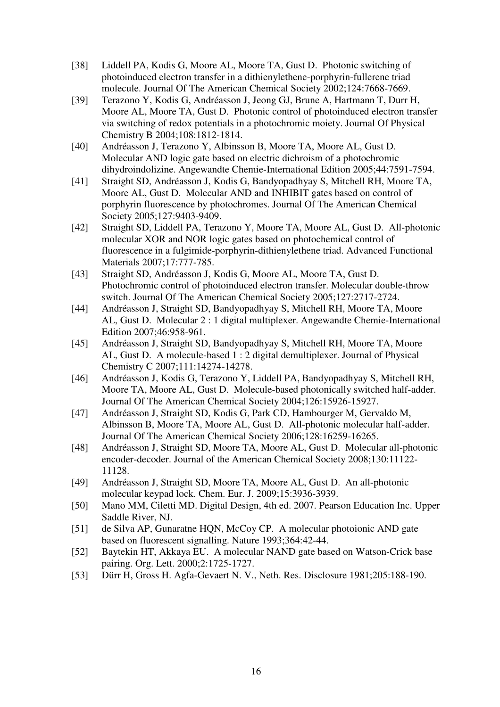- [38] Liddell PA, Kodis G, Moore AL, Moore TA, Gust D. Photonic switching of photoinduced electron transfer in a dithienylethene-porphyrin-fullerene triad molecule. Journal Of The American Chemical Society 2002;124:7668-7669.
- [39] Terazono Y, Kodis G, Andréasson J, Jeong GJ, Brune A, Hartmann T, Durr H, Moore AL, Moore TA, Gust D. Photonic control of photoinduced electron transfer via switching of redox potentials in a photochromic moiety. Journal Of Physical Chemistry B 2004;108:1812-1814.
- [40] Andréasson J, Terazono Y, Albinsson B, Moore TA, Moore AL, Gust D. Molecular AND logic gate based on electric dichroism of a photochromic dihydroindolizine. Angewandte Chemie-International Edition 2005;44:7591-7594.
- [41] Straight SD, Andréasson J, Kodis G, Bandyopadhyay S, Mitchell RH, Moore TA, Moore AL, Gust D. Molecular AND and INHIBIT gates based on control of porphyrin fluorescence by photochromes. Journal Of The American Chemical Society 2005;127:9403-9409.
- [42] Straight SD, Liddell PA, Terazono Y, Moore TA, Moore AL, Gust D. All-photonic molecular XOR and NOR logic gates based on photochemical control of fluorescence in a fulgimide-porphyrin-dithienylethene triad. Advanced Functional Materials 2007;17:777-785.
- [43] Straight SD, Andréasson J, Kodis G, Moore AL, Moore TA, Gust D. Photochromic control of photoinduced electron transfer. Molecular double-throw switch. Journal Of The American Chemical Society 2005;127:2717-2724.
- [44] Andréasson J, Straight SD, Bandyopadhyay S, Mitchell RH, Moore TA, Moore AL, Gust D. Molecular 2 : 1 digital multiplexer. Angewandte Chemie-International Edition 2007;46:958-961.
- [45] Andréasson J, Straight SD, Bandyopadhyay S, Mitchell RH, Moore TA, Moore AL, Gust D. A molecule-based 1 : 2 digital demultiplexer. Journal of Physical Chemistry C 2007;111:14274-14278.
- [46] Andréasson J, Kodis G, Terazono Y, Liddell PA, Bandyopadhyay S, Mitchell RH, Moore TA, Moore AL, Gust D. Molecule-based photonically switched half-adder. Journal Of The American Chemical Society 2004;126:15926-15927.
- [47] Andréasson J, Straight SD, Kodis G, Park CD, Hambourger M, Gervaldo M, Albinsson B, Moore TA, Moore AL, Gust D. All-photonic molecular half-adder. Journal Of The American Chemical Society 2006;128:16259-16265.
- [48] Andréasson J, Straight SD, Moore TA, Moore AL, Gust D. Molecular all-photonic encoder-decoder. Journal of the American Chemical Society 2008;130:11122- 11128.
- [49] Andréasson J, Straight SD, Moore TA, Moore AL, Gust D. An all-photonic molecular keypad lock. Chem. Eur. J. 2009;15:3936-3939.
- [50] Mano MM, Ciletti MD. Digital Design, 4th ed. 2007. Pearson Education Inc. Upper Saddle River, NJ.
- [51] de Silva AP, Gunaratne HQN, McCoy CP. A molecular photoionic AND gate based on fluorescent signalling. Nature 1993;364:42-44.
- [52] Baytekin HT, Akkaya EU. A molecular NAND gate based on Watson-Crick base pairing. Org. Lett. 2000;2:1725-1727.
- [53] Dürr H, Gross H. Agfa-Gevaert N. V., Neth. Res. Disclosure 1981;205:188-190.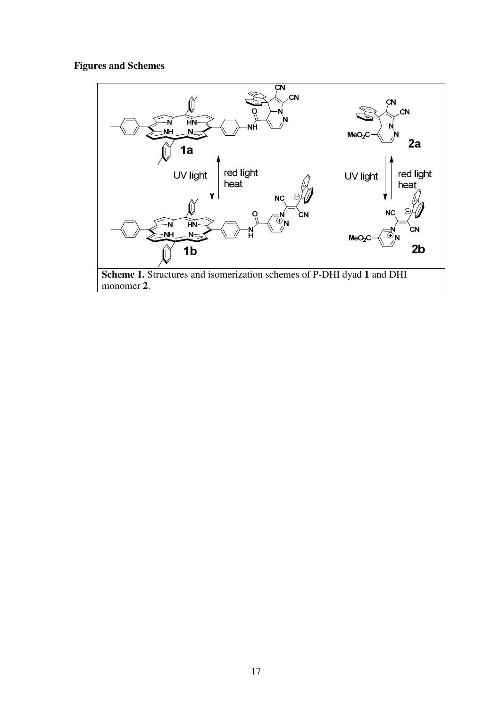### **Figures and Schemes**

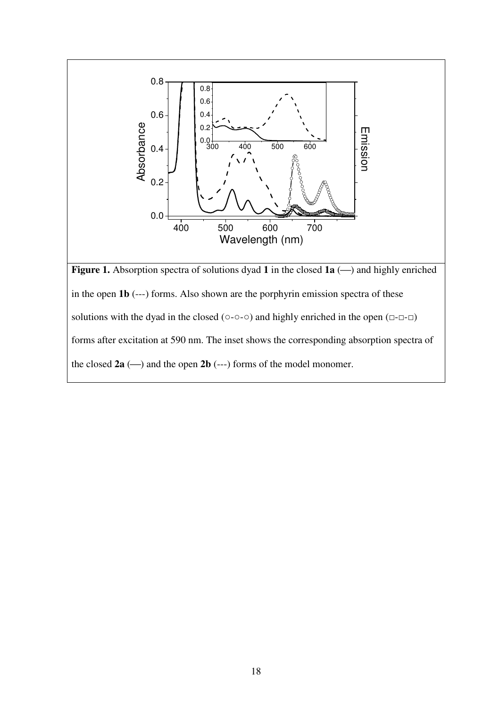

the closed  $2a$  ( $\rightarrow$ ) and the open  $2b$  (---) forms of the model monomer.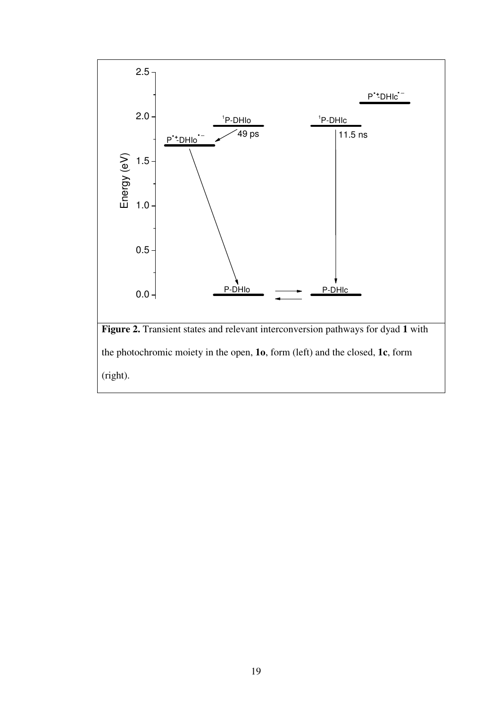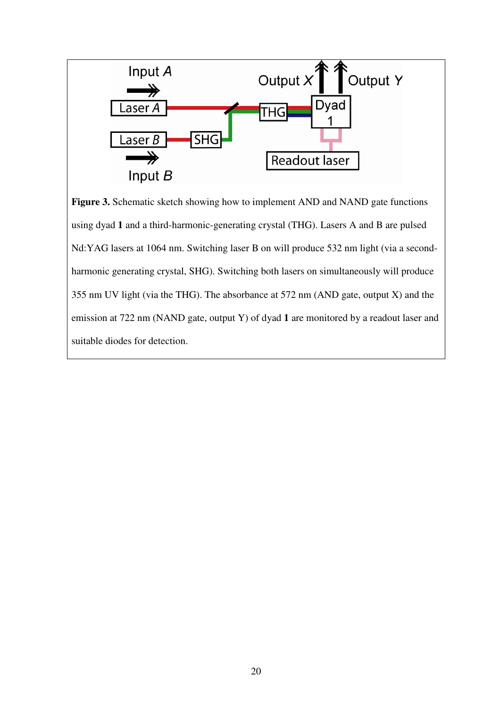

**Figure 3.** Schematic sketch showing how to implement AND and NAND gate functions using dyad **1** and a third-harmonic-generating crystal (THG). Lasers A and B are pulsed Nd:YAG lasers at 1064 nm. Switching laser B on will produce 532 nm light (via a secondharmonic generating crystal, SHG). Switching both lasers on simultaneously will produce 355 nm UV light (via the THG). The absorbance at 572 nm (AND gate, output X) and the emission at 722 nm (NAND gate, output Y) of dyad **1** are monitored by a readout laser and suitable diodes for detection.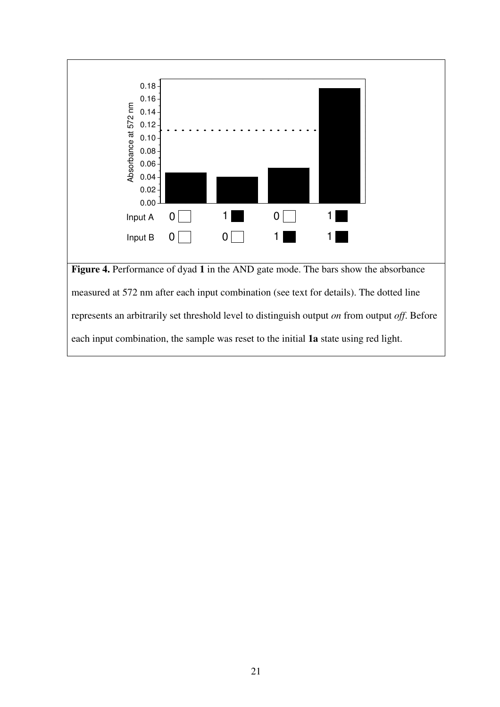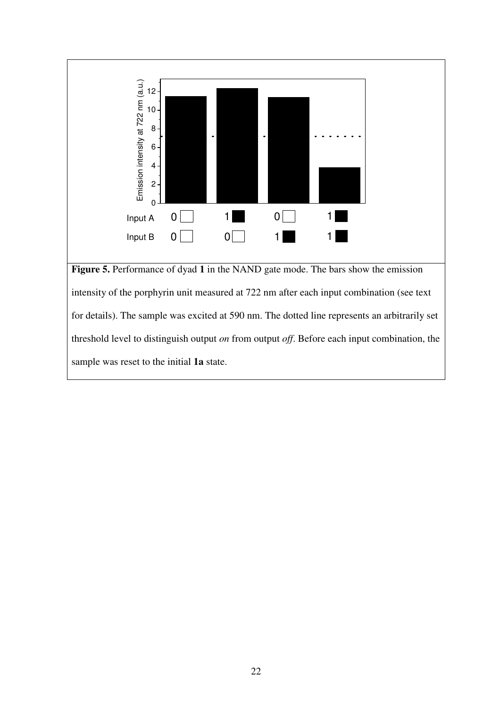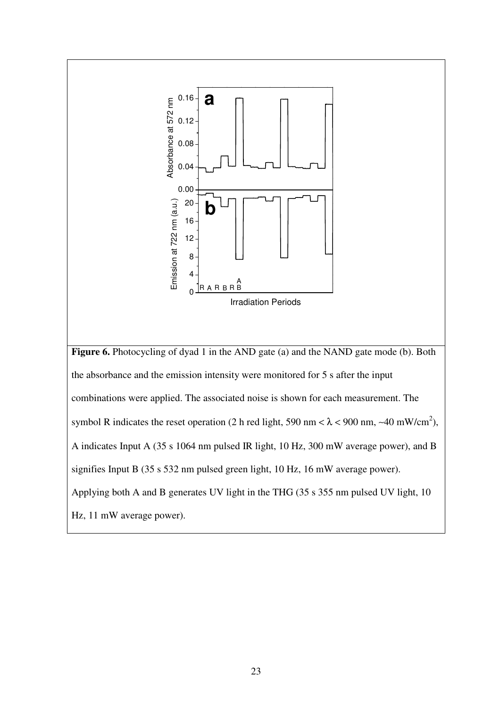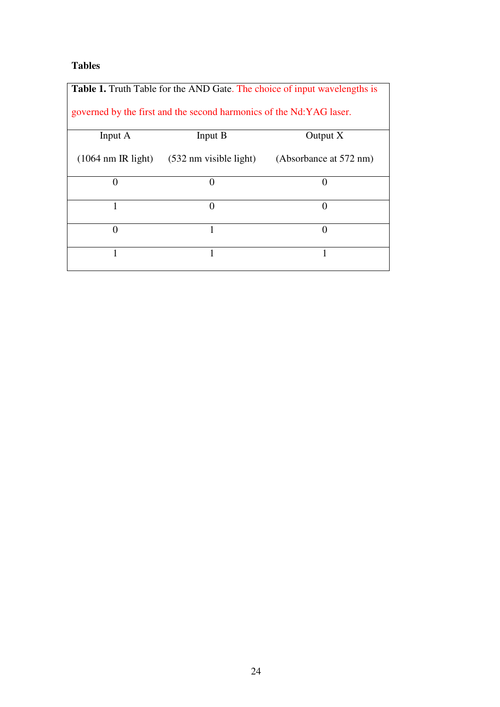### **Tables**

| <b>Table 1.</b> Truth Table for the AND Gate. The choice of input wavelengths is |                                          |                        |  |
|----------------------------------------------------------------------------------|------------------------------------------|------------------------|--|
| governed by the first and the second harmonics of the Nd:YAG laser.              |                                          |                        |  |
| Input A                                                                          | Input B                                  | Output $X$             |  |
| $(1064 \text{ nm} \text{ IR light})$                                             | $(532 \text{ nm} \text{ visible light})$ | (Absorbance at 572 nm) |  |
| $\left($                                                                         | 0                                        | $_{0}$                 |  |
|                                                                                  | 0                                        | 0                      |  |
| $\Omega$                                                                         |                                          | 0                      |  |
|                                                                                  |                                          |                        |  |